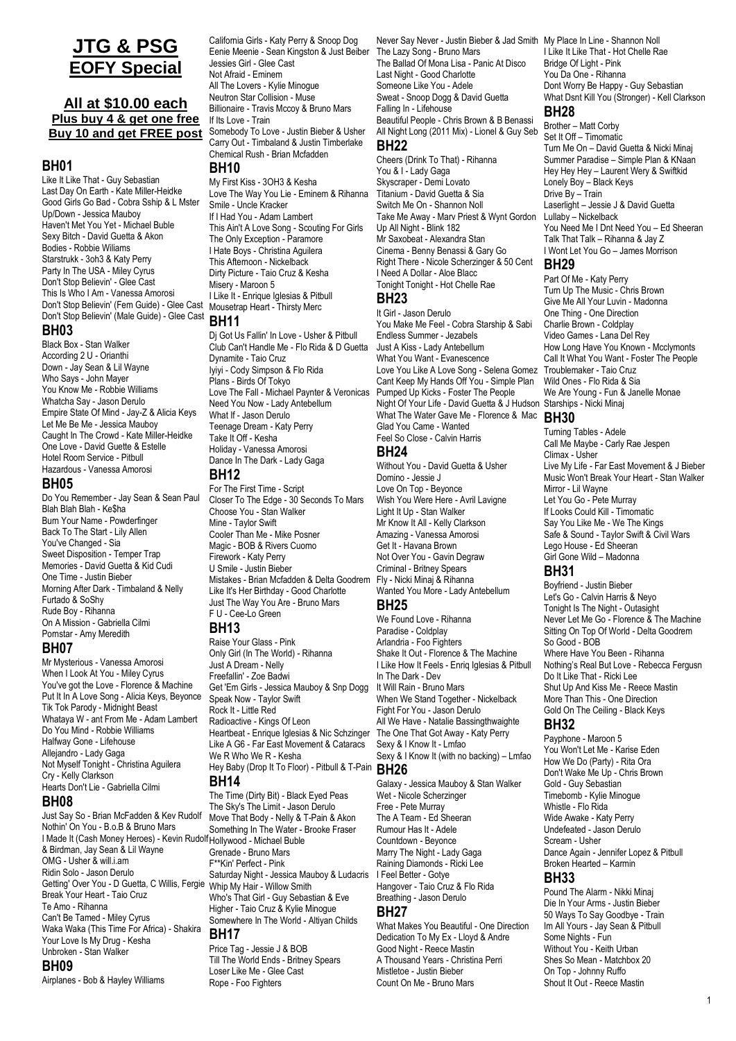# **JTG & PSG EOFY Special**

## **All at \$10.00 each Plus buy 4 & get one free Buy 10 and get FREE post**

## **BH01**

Like It Like That - Guy Sebastian Last Day On Earth - Kate Miller-Heidke Good Girls Go Bad - Cobra Sship & L Mster Up/Down - Jessica Mauboy Haven't Met You Yet - Michael Buble Sexy Bitch - David Guetta & Akon Bodies - Robbie Wiliams Starstrukk - 3oh3 & Katy Perry Party In The USA - Miley Cyrus Don't Stop Believin' - Glee Cast This Is Who I Am - Vanessa Amorosi Don't Stop Believin' (Fem Guide) - Glee Cast Don't Stop Believin' (Male Guide) - Glee Cast

# **BH03**

Black Box - Stan Walker According 2 U - Orianthi Down - Jay Sean & Lil Wayne Who Says - John Mayer You Know Me - Robbie Williams Whatcha Say - Jason Derulo Empire State Of Mind - Jay-Z & Alicia Keys Let Me Be Me - Jessica Mauboy Caught In The Crowd - Kate Miller-Heidke One Love - David Guette & Estelle Hotel Room Service - Pitbull Hazardous - Vanessa Amorosi

## **BH05**

Do You Remember - Jay Sean & Sean Paul Blah Blah Blah - Ke\$ha Burn Your Name - Powderfinger Back To The Start - Lily Allen You've Changed - Sia Sweet Disposition - Temper Trap Memories - David Guetta & Kid Cudi One Time - Justin Bieber Morning After Dark - Timbaland & Nelly Furtado & SoShy Rude Boy - Rihanna On A Mission - Gabriella Cilmi Pornstar - Amy Meredith

### **BH07**

Mr Mysterious - Vanessa Amorosi When I Look At You - Miley Cyrus You've got the Love - Florence & Machine Put It In A Love Song - Alicia Keys, Beyonce Tik Tok Parody - Midnight Beast Whataya W - ant From Me - Adam Lambert Do You Mind - Robbie Williams Halfway Gone - Lifehouse Allejandro - Lady Gaga Not Myself Tonight - Christina Aguilera Cry - Kelly Clarkson Hearts Don't Lie - Gabriella Cilmi

## **BH08**

Just Say So - Brian McFadden & Kev Rudolf Nothin' On You - B.o.B & Bruno Mars I Made It (Cash Money Heroes) - Kevin Rudolf <sub>Hollywood</sub> - Michael Buble & Birdman, Jay Sean & Lil Wayne OMG - Usher & will.i.am Ridin Solo - Jason Derulo Getting' Over You - D Guetta, C Willis, Fergie Break Your Heart - Taio Cruz Te Amo - Rihanna Can't Be Tamed - Miley Cyrus Waka Waka (This Time For Africa) - Shakira Your Love Is My Drug - Kesha Unbroken - Stan Walker

## **BH09**

Airplanes - Bob & Hayley Williams

California Girls - Katy Perry & Snoop Dog Eenie Meenie - Sean Kingston & Just Beiber Jessies Girl - Glee Cast Not Afraid - Eminem All The Lovers - Kylie Minogue Neutron Star Collision - Muse Billionaire - Travis Mccoy & Bruno Mars If Its Love - Train Somebody To Love - Justin Bieber & Usher Carry Out - Timbaland & Justin Timberlake Chemical Rush - Brian Mcfadden

# **BH10**

My First Kiss - 3OH3 & Kesha Love The Way You Lie - Eminem & Rihanna Smile - Uncle Kracker If I Had You - Adam Lambert This Ain't A Love Song - Scouting For Girls The Only Exception - Paramore I Hate Boys - Christina Aguilera This Afternoon - Nickelback Dirty Picture - Taio Cruz & Kesha Misery - Maroon 5 I Like It - Enrique Iglesias & Pitbull Mousetrap Heart - Thirsty Merc

### **BH11**

Dj Got Us Fallin' In Love - Usher & Pitbull Club Can't Handle Me - Flo Rida & D Guetta Dynamite - Taio Cruz Iyiyi - Cody Simpson & Flo Rida Plans - Birds Of Tokyo Love The Fall - Michael Paynter & Veronicas Need You Now - Lady Antebellum What If - Jason Derulo Teenage Dream - Katy Perry Take It Off - Kesha Holiday - Vanessa Amorosi Dance In The Dark - Lady Gaga

# **BH12**

For The First Time - Script Closer To The Edge - 30 Seconds To Mars Choose You - Stan Walker Mine - Taylor Swift Cooler Than Me - Mike Posner Magic - BOB & Rivers Cuomo Firework - Katy Perry U Smile - Justin Bieber Mistakes - Brian Mcfadden & Delta Goodrem Like It's Her Birthday - Good Charlotte Just The Way You Are - Bruno Mars F U - Cee-Lo Green

## **BH13**

Raise Your Glass - Pink Only Girl (In The World) - Rihanna Just A Dream - Nelly Freefallin' - Zoe Badwi Get 'Em Girls - Jessica Mauboy & Snp Dogg Speak Now - Taylor Swift Rock It - Little Red Radioactive - Kings Of Leon Heartbeat - Enrique Iglesias & Nic Schzinger Like A G6 - Far East Movement & Cataracs We R Who We R - Kesha Hey Baby (Drop It To Floor) - Pitbull & T-Pain **BH26 BH14**

The Time (Dirty Bit) - Black Eyed Peas The Sky's The Limit - Jason Derulo Move That Body - Nelly & T-Pain & Akon Something In The Water - Brooke Fraser Grenade - Bruno Mars F\*\*Kin' Perfect - Pink Saturday Night - Jessica Mauboy & Ludacris Whip My Hair - Willow Smith Who's That Girl - Guy Sebastian & Eve Higher - Taio Cruz & Kylie Minogue Somewhere In The World - Altiyan Childs **BH17**

Price Tag - Jessie J & BOB Till The World Ends - Britney Spears Loser Like Me - Glee Cast Rope - Foo Fighters

Never Say Never - Justin Bieber & Jad Smith My Place In Line - Shannon Noll The Lazy Song - Bruno Mars The Ballad Of Mona Lisa - Panic At Disco Last Night - Good Charlotte Someone Like You - Adele Sweat - Snoop Dogg & David Guetta Falling In - Lifehouse Beautiful People - Chris Brown & B Benassi All Night Long (2011 Mix) - Lionel & Guy Seb **BH22** Cheers (Drink To That) - Rihanna

You & I - Lady Gaga Skyscraper - Demi Lovato Titanium - David Guetta & Sia Switch Me On - Shannon Noll Take Me Away - Marv Priest & Wynt Gordon Up All Night - Blink 182 Mr Saxobeat - Alexandra Stan Cinema - Benny Benassi & Gary Go Right There - Nicole Scherzinger & 50 Cent I Need A Dollar - Aloe Blacc Tonight Tonight - Hot Chelle Rae **BH23**

It Girl - Jason Derulo You Make Me Feel - Cobra Starship & Sabi Endless Summer - Jezabels Just A Kiss - Lady Antebellum What You Want - Evanescence Love You Like A Love Song - Selena Gomez Cant Keep My Hands Off You - Simple Plan Pumped Up Kicks - Foster The People Night Of Your Life - David Guetta & J Hudson Starships - Nicki Minaj What The Water Gave Me - Florence & Mac Glad You Came - Wanted Feel So Close - Calvin Harris

# **BH24**

Without You - David Guetta & Usher Domino - Jessie J Love On Top - Beyonce Wish You Were Here - Avril Lavigne Light It Up - Stan Walker Mr Know It All - Kelly Clarkson Amazing - Vanessa Amorosi Get It - Havana Brown Not Over You - Gavin Degraw Criminal - Britney Spears Fly - Nicki Minaj & Rihanna Wanted You More - Lady Antebellum

## **BH25**

We Found Love - Rihanna Paradise - Coldplay Arlandria - Foo Fighters Shake It Out - Florence & The Machine I Like How It Feels - Enriq Iglesias & Pitbull In The Dark - Dev It Will Rain - Bruno Mars When We Stand Together - Nickelback Fight For You - Jason Derulo All We Have - Natalie Bassingthwaighte The One That Got Away - Katy Perry Sexy & I Know It - Lmfao Sexy & I Know It (with no backing) – Lmfao

Galaxy - Jessica Mauboy & Stan Walker Wet - Nicole Scherzinger Free - Pete Murray The A Team - Ed Sheeran Rumour Has It - Adele Countdown - Beyonce Marry The Night - Lady Gaga Raining Diamonds - Ricki Lee I Feel Better - Gotye Hangover - Taio Cruz & Flo Rida Breathing - Jason Derulo **BH27**

### What Makes You Beautiful - One Direction Dedication To My Ex - Lloyd & Andre Good Night - Reece Mastin A Thousand Years - Christina Perri Mistletoe - Justin Bieber Count On Me - Bruno Mars

I Like It Like That - Hot Chelle Rae Bridge Of Light - Pink You Da One - Rihanna Dont Worry Be Happy - Guy Sebastian What Dsnt Kill You (Stronger) - Kell Clarkson **BH28**

Brother – Matt Corby Set It Off – Timomatic Turn Me On – David Guetta & Nicki Minaj Summer Paradise – Simple Plan & KNaan Hey Hey Hey – Laurent Wery & Swiftkid Lonely Boy – Black Keys Drive By – Train Laserlight – Jessie J & David Guetta Lullaby – Nickelback You Need Me I Dnt Need You – Ed Sheeran Talk That Talk – Rihanna & Jay Z I Wont Let You Go – James Morrison **BH29**

Part Of Me - Katy Perry Turn Up The Music - Chris Brown Give Me All Your Luvin - Madonna One Thing - One Direction Charlie Brown - Coldplay Video Games - Lana Del Rey How Long Have You Known - Mcclymonts Call It What You Want - Foster The People Troublemaker - Taio Cruz Wild Ones - Flo Rida & Sia We Are Young - Fun & Janelle Monae

**BH30**

Turning Tables - Adele Call Me Maybe - Carly Rae Jespen Climax - Usher Live My Life - Far East Movement & J Bieber Music Won't Break Your Heart - Stan Walker Mirror - Lil Wayne Let You Go - Pete Murray If Looks Could Kill - Timomatic Say You Like Me - We The Kings Safe & Sound - Taylor Swift & Civil Wars Lego House - Ed Sheeran Girl Gone Wild – Madonna

# **BH31**

Boyfriend - Justin Bieber Let's Go - Calvin Harris & Neyo Tonight Is The Night - Outasight Never Let Me Go - Florence & The Machine Sitting On Top Of World - Delta Goodrem So Good - BOB Where Have You Been - Rihanna Nothing's Real But Love - Rebecca Fergusn Do It Like That - Ricki Lee Shut Up And Kiss Me - Reece Mastin More Than This - One Direction Gold On The Ceiling - Black Keys

## **BH32**

Payphone - Maroon 5 You Won't Let Me - Karise Eden How We Do (Party) - Rita Ora Don't Wake Me Up - Chris Brown Gold - Guy Sebastian Timebomb - Kylie Minogue Whistle - Flo Rida Wide Awake - Katy Perry Undefeated - Jason Derulo Scream - Usher Dance Again - Jennifer Lopez & Pitbull Broken Hearted – Karmin

### **BH33**

Pound The Alarm - Nikki Minaj Die In Your Arms - Justin Bieber 50 Ways To Say Goodbye - Train Im All Yours - Jay Sean & Pitbull Some Nights - Fun Without You - Keith Urban Shes So Mean - Matchbox 20 On Top - Johnny Ruffo Shout It Out - Reece Mastin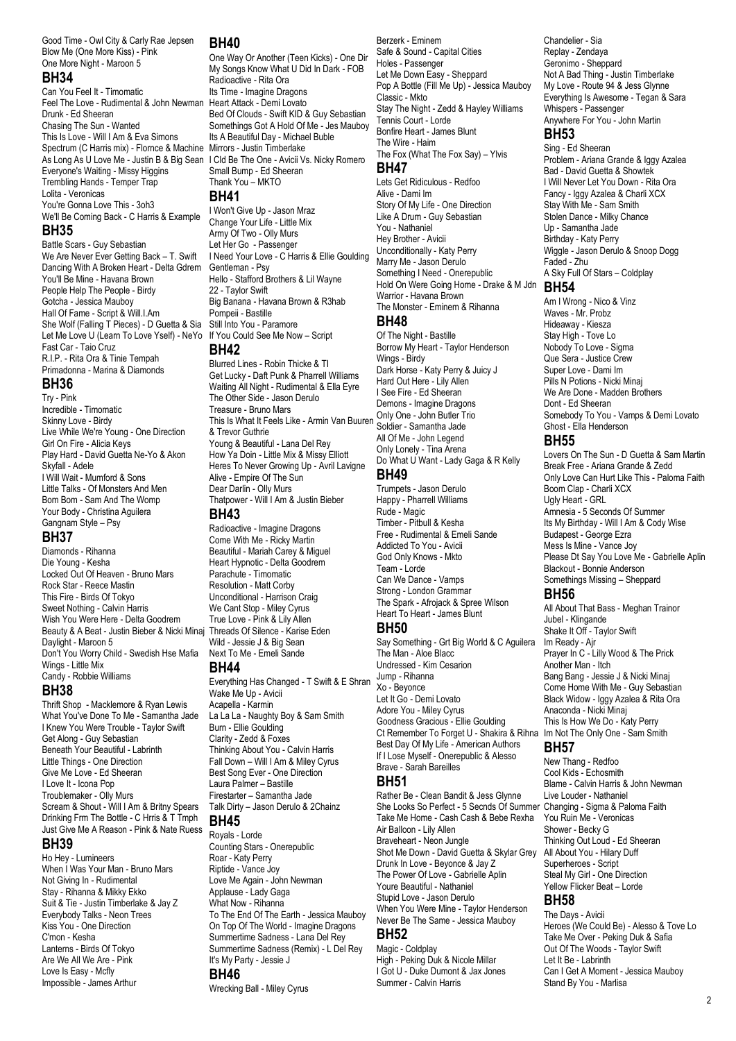Good Time - Owl City & Carly Rae Jepsen Blow Me (One More Kiss) - Pink One More Night - Maroon 5

## **BH34**

Can You Feel It - Timomatic Feel The Love - Rudimental & John Newman Heart Attack - Demi Lovato Drunk - Ed Sheeran Chasing The Sun - Wanted This Is Love - Will I Am & Eva Simons Spectrum (C Harris mix) - Flornce & Machine As Long As U Love Me - Justin B & Big Sean Everyone's Waiting - Missy Higgins Trembling Hands - Temper Trap Lolita - Veronicas You're Gonna Love This - 3oh3 We'll Be Coming Back - C Harris & Example **BH35**

Battle Scars - Guy Sebastian We Are Never Ever Getting Back – T. Swift Dancing With A Broken Heart - Delta Gdrem You'll Be Mine - Havana Brown People Help The People - Birdy Gotcha - Jessica Mauboy Hall Of Fame - Script & Will.I.Am She Wolf (Falling T Pieces) - D Guetta & Sia Still Into You - Paramore Let Me Love U (Learn To Love Yself) - NeYo If You Could See Me Now – Script Fast Car - Taio Cruz R.I.P. - Rita Ora & Tinie Tempah Primadonna - Marina & Diamonds

## **BH36**

Try - Pink Incredible - Timomatic Skinny Love - Birdy Live While We're Young - One Direction Girl On Fire - Alicia Keys Play Hard - David Guetta Ne-Yo & Akon Skyfall - Adele I Will Wait - Mumford & Sons Little Talks - Of Monsters And Men Bom Bom - Sam And The Womp Your Body - Christina Aguilera Gangnam Style – Psy

## **BH37**

Diamonds - Rihanna Die Young - Kesha Locked Out Of Heaven - Bruno Mars Rock Star - Reece Mastin This Fire - Birds Of Tokyo Sweet Nothing - Calvin Harris Wish You Were Here - Delta Goodrem Beauty & A Beat - Justin Bieber & Nicki Minaj Daylight - Maroon 5 Don't You Worry Child - Swedish Hse Mafia Wings - Little Mix Candy - Robbie Williams

## **BH38**

Thrift Shop - Macklemore & Ryan Lewis What You've Done To Me - Samantha Jade I Knew You Were Trouble - Taylor Swift Get Along - Guy Sebastian Beneath Your Beautiful - Labrinth Little Things - One Direction Give Me Love - Ed Sheeran I Love It - Icona Pop Troublemaker - Olly Murs Scream & Shout - Will I Am & Britny Spears Drinking Frm The Bottle - C Hrris & T Tmph Just Give Me A Reason - Pink & Nate Ruess

## **BH39**

Ho Hey - Lumineers When I Was Your Man - Bruno Mars Not Giving In - Rudimental Stay - Rihanna & Mikky Ekko Suit & Tie - Justin Timberlake & Jay Z Everybody Talks - Neon Trees Kiss You - One Direction C'mon - Kesha Lanterns - Birds Of Tokyo Are We All We Are - Pink Love Is Easy - Mcfly Impossible - James Arthur

### **BH40**

One Way Or Another (Teen Kicks) - One Dir My Songs Know What U Did In Dark - FOB Radioactive - Rita Ora Its Time - Imagine Dragons Bed Of Clouds - Swift KID & Guy Sebastian Somethings Got A Hold Of Me - Jes Mauboy Its A Beautiful Day - Michael Buble Mirrors - Justin Timberlake I Cld Be The One - Avicii Vs. Nicky Romero Small Bump - Ed Sheeran Thank You – MKTO **BH41**

I Won't Give Up - Jason Mraz Change Your Life - Little Mix Army Of Two - Olly Murs Let Her Go - Passenger I Need Your Love - C Harris & Ellie Goulding Gentleman - Psy Hello - Stafford Brothers & Lil Wayne 22 - Taylor Swift Big Banana - Havana Brown & R3hab Pompeii - Bastille

## **BH42**

Blurred Lines - Robin Thicke & TI Get Lucky - Daft Punk & Pharrell Williams Waiting All Night - Rudimental & Ella Eyre The Other Side - Jason Derulo Treasure - Bruno Mars This Is What It Feels Like - Armin Van Buuren **EXECUTE IS STATE OF STATE OF A THILL VALUE AND SOLDIER**<br>& Trevor Guthrie<br>All Of Manufacture Label against the Card Young & Beautiful - Lana Del Rey How Ya Doin - Little Mix & Missy Elliott Heres To Never Growing Up - Avril Lavigne Alive - Empire Of The Sun Dear Darlin - Olly Murs Thatpower - Will I Am & Justin Bieber

## **BH43**

Radioactive - Imagine Dragons Come With Me - Ricky Martin Beautiful - Mariah Carey & Miguel Heart Hypnotic - Delta Goodrem Parachute - Timomatic Resolution - Matt Corby Unconditional - Harrison Craig We Cant Stop - Miley Cyrus True Love - Pink & Lily Allen Threads Of Silence - Karise Eden Wild - Jessie J & Big Sean Next To Me - Emeli Sande

### **BH44**

Everything Has Changed - T Swift & E Shran Wake Me Up - Avicii Acapella - Karmin La La La - Naughty Boy & Sam Smith Burn - Ellie Goulding Clarity - Zedd & Foxes Thinking About You - Calvin Harris Fall Down – Will I Am & Miley Cyrus Best Song Ever - One Direction Laura Palmer – Bastille Firestarter – Samantha Jade Talk Dirty – Jason Derulo & 2Chainz

## **BH45**

Royals - Lorde Counting Stars - Onerepublic Roar - Katy Perry Riptide - Vance Joy Love Me Again - John Newman Applause - Lady Gaga What Now - Rihanna To The End Of The Earth - Jessica Mauboy On Top Of The World - Imagine Dragons Summertime Sadness - Lana Del Rey Summertime Sadness (Remix) - L Del Rey It's My Party - Jessie J **BH46**

Wrecking Ball - Miley Cyrus

Berzerk - Eminem Safe & Sound - Capital Cities Holes - Passenger Let Me Down Easy - Sheppard Pop A Bottle (Fill Me Up) - Jessica Mauboy Classic - Mkto Stay The Night - Zedd & Hayley Williams Tennis Court - Lorde Bonfire Heart - James Blunt The Wire - Haim The Fox (What The Fox Say) – Ylvis **BH47**

Lets Get Ridiculous - Redfoo Alive - Dami Im Story Of My Life - One Direction Like A Drum - Guy Sebastian You - Nathaniel Hey Brother - Avicii Unconditionally - Katy Perry Marry Me - Jason Derulo Something I Need - Onerepublic Hold On Were Going Home - Drake & M Jdn Warrior - Havana Brown The Monster - Eminem & Rihanna **BH48**

Of The Night - Bastille Borrow My Heart - Taylor Henderson Wings - Birdy Dark Horse - Katy Perry & Juicy J Hard Out Here - Lily Allen I See Fire - Ed Sheeran Demons - Imagine Dragons Only One - John Butler Trio All Of Me - John Legend Only Lonely - Tina Arena Do What U Want - Lady Gaga & R Kelly

## **BH49**

Trumpets - Jason Derulo Happy - Pharrell Williams Rude - Magic Timber - Pitbull & Kesha Free - Rudimental & Emeli Sande Addicted To You - Avicii God Only Knows - Mkto Team - Lorde Can We Dance - Vamps Strong - London Grammar The Spark - Afrojack & Spree Wilson Heart To Heart - James Blunt

## **BH50**

Say Something - Grt Big World & C Aguilera The Man - Aloe Blacc Undressed - Kim Cesarion Jump - Rihanna Xo - Beyonce Let It Go - Demi Lovato Adore You - Miley Cyrus Goodness Gracious - Ellie Goulding Ct Remember To Forget U - Shakira & Rihna Im Not The Only One - Sam Smith Best Day Of My Life - American Authors If I Lose Myself - Onerepublic & Alesso Brave - Sarah Bareilles

## **BH51**

Rather Be - Clean Bandit & Jess Glynne She Looks So Perfect - 5 Secnds Of Summer Changing - Sigma & Paloma Faith Take Me Home - Cash Cash & Bebe Rexha Air Balloon - Lily Allen Braveheart - Neon Jungle Shot Me Down - David Guetta & Skylar Grey Drunk In Love - Beyonce & Jay Z The Power Of Love - Gabrielle Aplin Youre Beautiful - Nathaniel Stupid Love - Jason Derulo When You Were Mine - Taylor Henderson Never Be The Same - Jessica Mauboy **BH52**

## Magic - Coldplay

High - Peking Duk & Nicole Millar I Got U - Duke Dumont & Jax Jones Summer - Calvin Harris

Chandelier - Sia Replay - Zendaya Geronimo - Sheppard Not A Bad Thing - Justin Timberlake My Love - Route 94 & Jess Glynne Everything Is Awesome - Tegan & Sara Whispers - Passenger Anywhere For You - John Martin

# **BH53**

Sing - Ed Sheeran Problem - Ariana Grande & Iggy Azalea Bad - David Guetta & Showtek I Will Never Let You Down - Rita Ora Fancy - Iggy Azalea & Charli XCX Stay With Me - Sam Smith Stolen Dance - Milky Chance Up - Samantha Jade Birthday - Katy Perry Wiggle - Jason Derulo & Snoop Dogg Faded - Zhu A Sky Full Of Stars – Coldplay

## **BH54**

Am I Wrong - Nico & Vinz Waves - Mr. Probz Hideaway - Kiesza Stay High - Tove Lo Nobody To Love - Sigma Que Sera - Justice Crew Super Love - Dami Im Pills N Potions - Nicki Minaj We Are Done - Madden Brothers Dont - Ed Sheeran Somebody To You - Vamps & Demi Lovato Ghost - Ella Henderson

## **BH55**

Lovers On The Sun - D Guetta & Sam Martin Break Free - Ariana Grande & Zedd Only Love Can Hurt Like This - Paloma Faith Boom Clap - Charli XCX Ugly Heart - GRL Amnesia - 5 Seconds Of Summer Its My Birthday - Will I Am & Cody Wise Budapest - George Ezra Mess Is Mine - Vance Joy Please Dt Say You Love Me - Gabrielle Aplin Blackout - Bonnie Anderson Somethings Missing – Sheppard

## **BH56**

All About That Bass - Meghan Trainor Jubel - Klingande Shake It Off - Taylor Swift Im Ready - Ajr Prayer In C - Lilly Wood & The Prick Another Man - Itch Bang Bang - Jessie J & Nicki Minaj Come Home With Me - Guy Sebastian Black Widow - Iggy Azalea & Rita Ora Anaconda - Nicki Minaj This Is How We Do - Katy Perry

## **BH57**

New Thang - Redfoo Cool Kids - Echosmith Blame - Calvin Harris & John Newman Live Louder - Nathaniel You Ruin Me - Veronicas Shower - Becky G Thinking Out Loud - Ed Sheeran All About You - Hilary Duff Superheroes - Script Steal My Girl - One Direction Yellow Flicker Beat – Lorde

# **BH58**

The Days - Avicii Heroes (We Could Be) - Alesso & Tove Lo Take Me Over - Peking Duk & Safia Out Of The Woods - Taylor Swift Let It Be - Labrinth Can I Get A Moment - Jessica Mauboy Stand By You - Marlisa